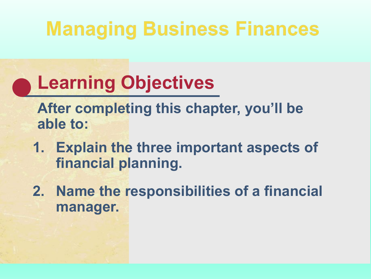## **Managing Business Finances**

#### **Learning Objectives**

**After completing this chapter, you'll be able to:**

- **1. Explain the three important aspects of financial planning.**
- **2. Name the responsibilities of a financial manager.**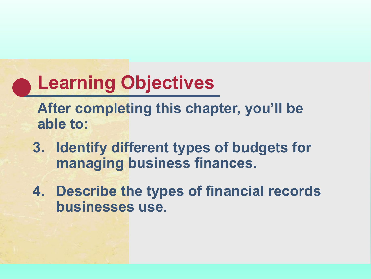#### **Learning Objectives**

**After completing this chapter, you'll be able to:**

- **3. Identify different types of budgets for managing business finances.**
- **4. Describe the types of financial records businesses use.**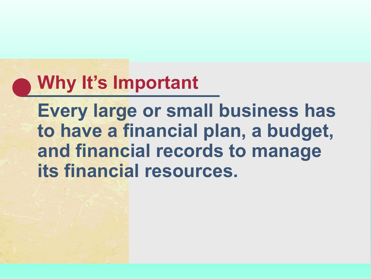#### **Why It's Important**

**Every large or small business has to have a financial plan, a budget, and financial records to manage its financial resources.**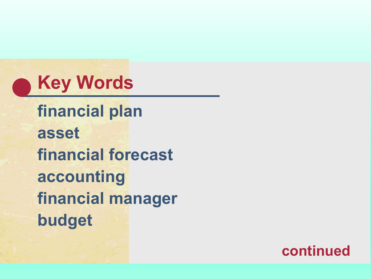

**financial plan asset financial forecast accounting financial manager budget** 

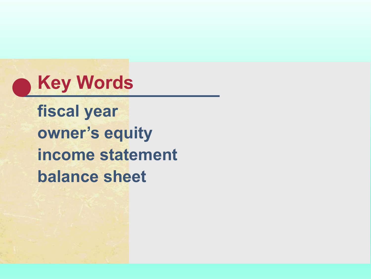

**fiscal year owner's equity income statement balance sheet**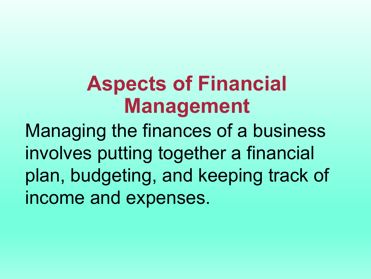## **Aspects of Financial Management**

Managing the finances of a business involves putting together a financial plan, budgeting, and keeping track of income and expenses.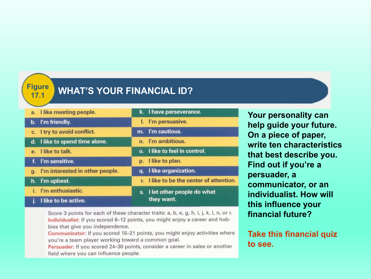**Figure**

#### **17.1 WHAT'S YOUR FINANCIAL ID?**

|              | a. I like meeting people.       |  | k. I have perseverance.                     |
|--------------|---------------------------------|--|---------------------------------------------|
|              | b. I'm friendly.                |  | I. I'm persuasive.                          |
|              | c. I try to avoid conflict.     |  | m. I'm cautious.                            |
|              | d. I like to spend time alone.  |  | n. I'm ambitious.                           |
|              | e. I like to talk.              |  | o. I like to feel in control.               |
|              | f. I'm sensitive.               |  | p. I like to plan.                          |
| $q_{\rm{L}}$ | I'm interested in other people. |  | q. I like organization.                     |
|              | h. I'm upbeat.                  |  | r. I like to be the center of attention.    |
|              | i. I'm enthusiastic.            |  | s. I let other people do what<br>they want. |
|              | j. I like to be active.         |  |                                             |

**On a piece of paper, write ten characteristics that best describe you. Find out if you're a persuader, a communicator, or an individualist. How will this influence your financial future?**

**Your personality can** 

**help guide your future.** 

Score 3 points for each of these character traits: a, b, e, g, h, i, j, k, l, n, or r. Individualist: If you scored 6-12 points, you might enjoy a career and hobbies that give you independence.

Communicator: If you scored 15-21 points, you might enjoy activities where you're a team player working toward a common goal.

Persuader: If you scored 24-30 points, consider a career in sales or another field where you can influence people.

**Take this financial quiz to see.**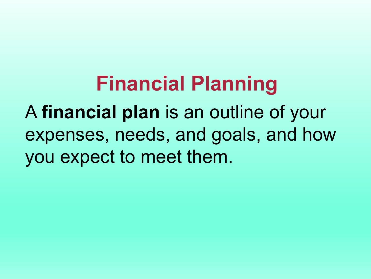**Financial Planning**  A **financial plan** is an outline of your expenses, needs, and goals, and how you expect to meet them.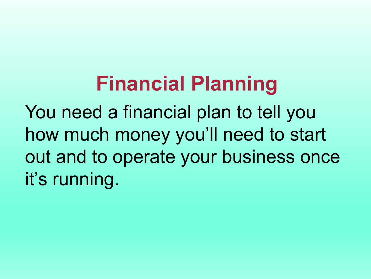**Financial Planning**  You need a financial plan to tell you how much money you'll need to start out and to operate your business once it's running.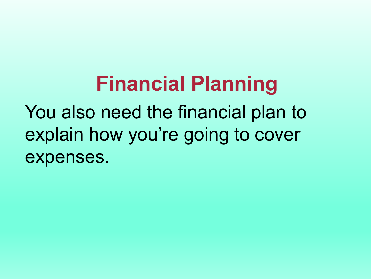**Financial Planning**  You also need the financial plan to explain how you're going to cover expenses.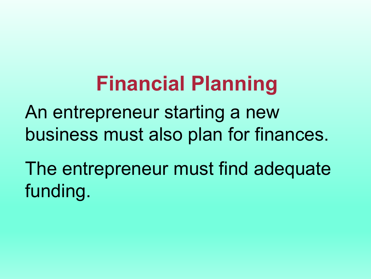## **Financial Planning**

An entrepreneur starting a new business must also plan for finances.

The entrepreneur must find adequate funding.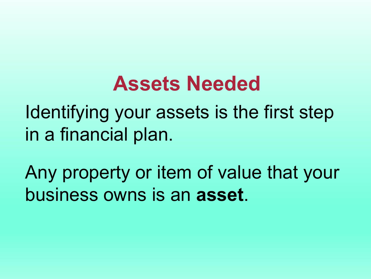#### **Assets Needed**

Identifying your assets is the first step in a financial plan.

Any property or item of value that your business owns is an **asset**.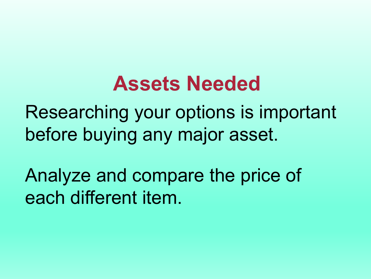#### **Assets Needed**

Researching your options is important before buying any major asset.

Analyze and compare the price of each different item.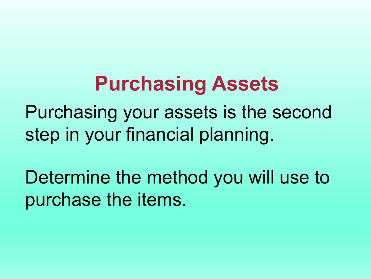#### **Purchasing Assets**

Purchasing your assets is the second step in your financial planning.

Determine the method you will use to purchase the items.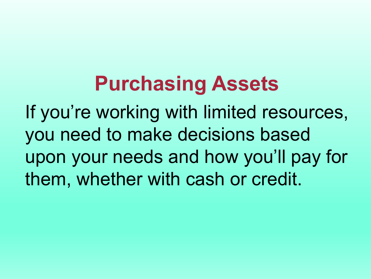## **Purchasing Assets**

If you're working with limited resources, you need to make decisions based upon your needs and how you'll pay for them, whether with cash or credit.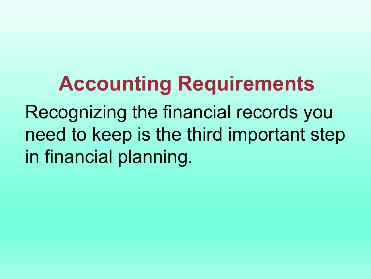**Accounting Requirements**  Recognizing the financial records you need to keep is the third important step in financial planning.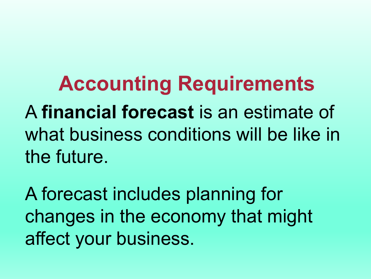**Accounting Requirements**  A **financial forecast** is an estimate of what business conditions will be like in the future.

A forecast includes planning for changes in the economy that might affect your business.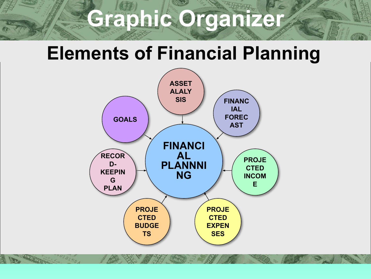## **Graphic Organizer**

## **Elements of Financial Planning**

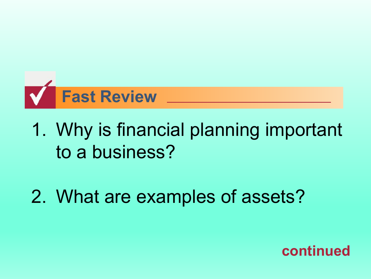

#### 1. Why is financial planning important to a business?

#### 2. What are examples of assets?

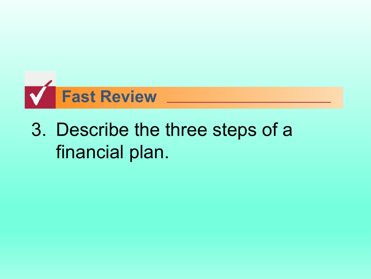

#### 3. Describe the three steps of a financial plan.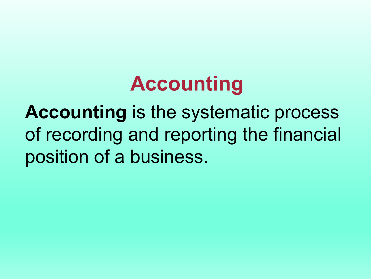**Accounting** is the systematic process of recording and reporting the financial position of a business.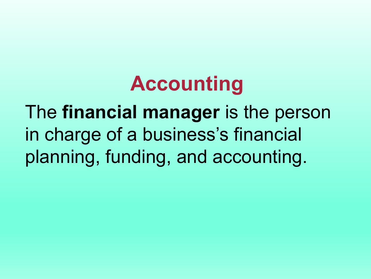The **financial manager** is the person in charge of a business's financial planning, funding, and accounting.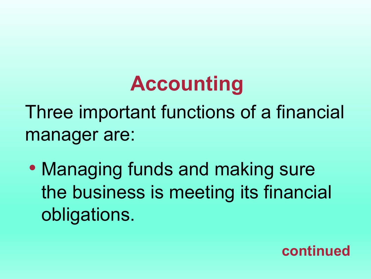Three important functions of a financial manager are:

• Managing funds and making sure the business is meeting its financial obligations.

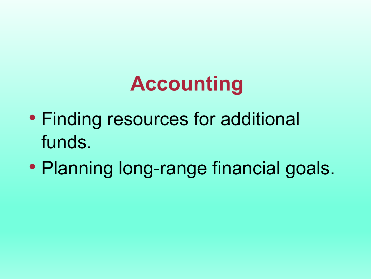- Finding resources for additional funds.
- Planning long-range financial goals.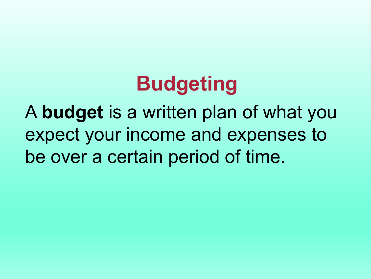## **Budgeting**

A **budget** is a written plan of what you expect your income and expenses to be over a certain period of time.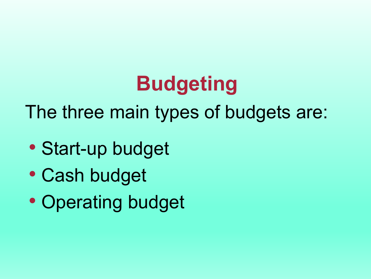## **Budgeting**

The three main types of budgets are:

- Start-up budget
- Cash budget
- Operating budget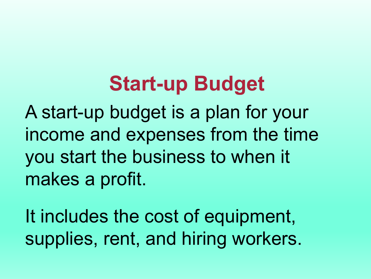#### **Start-up Budget**

A start-up budget is a plan for your income and expenses from the time you start the business to when it makes a profit.

It includes the cost of equipment, supplies, rent, and hiring workers.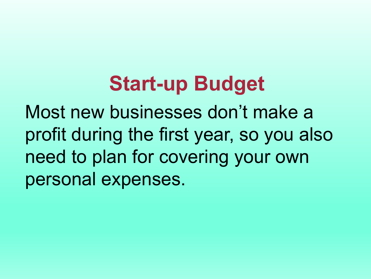## **Start-up Budget**

Most new businesses don't make a profit during the first year, so you also need to plan for covering your own personal expenses.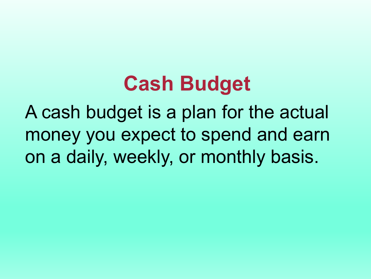#### **Cash Budget**

A cash budget is a plan for the actual money you expect to spend and earn on a daily, weekly, or monthly basis.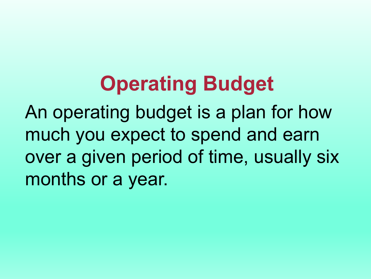## **Operating Budget**

An operating budget is a plan for how much you expect to spend and earn over a given period of time, usually six months or a year.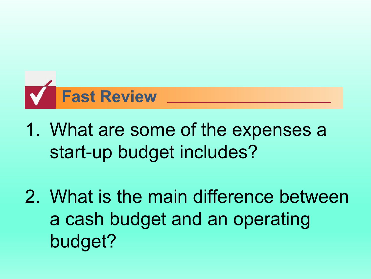

- 1. What are some of the expenses a start-up budget includes?
- 2. What is the main difference between a cash budget and an operating budget?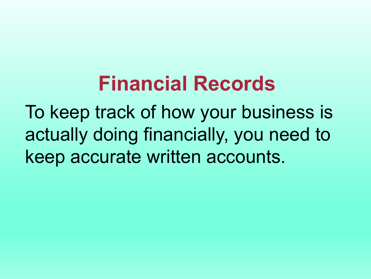## **Financial Records**

To keep track of how your business is actually doing financially, you need to keep accurate written accounts.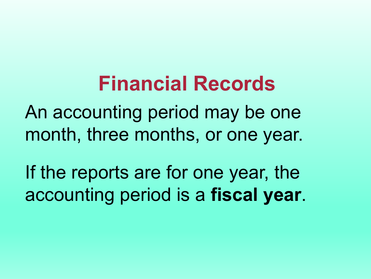#### **Financial Records**

An accounting period may be one month, three months, or one year.

If the reports are for one year, the accounting period is a **fiscal year**.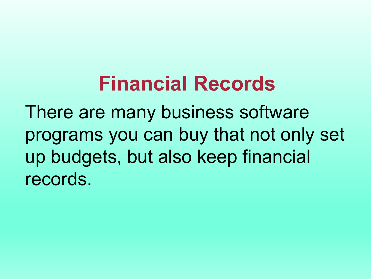## **Financial Records**

There are many business software programs you can buy that not only set up budgets, but also keep financial records.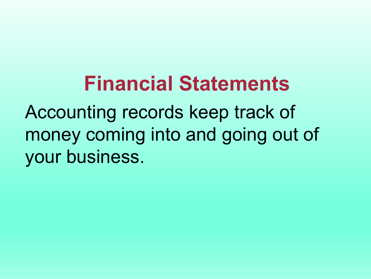**Financial Statements**  Accounting records keep track of money coming into and going out of your business.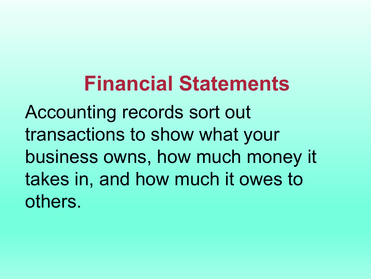Accounting records sort out transactions to show what your business owns, how much money it takes in, and how much it owes to others.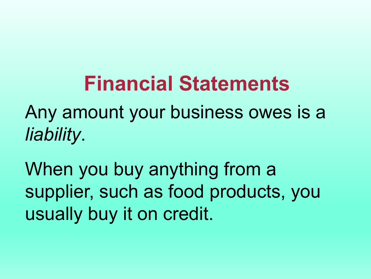Any amount your business owes is a *liability*.

When you buy anything from a supplier, such as food products, you usually buy it on credit.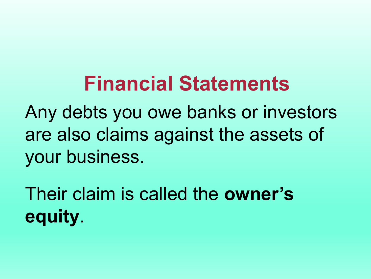Any debts you owe banks or investors are also claims against the assets of your business.

Their claim is called the **owner's equity**.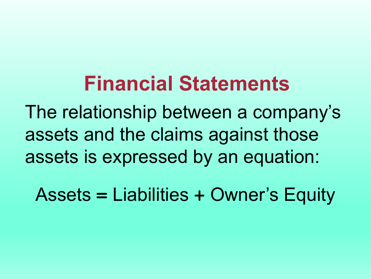The relationship between a company's assets and the claims against those assets is expressed by an equation:

Assets **=** Liabilities **+** Owner's Equity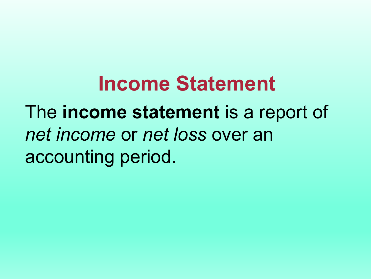## **Income Statement**  The **income statement** is a report of *net income* or *net loss* over an accounting period.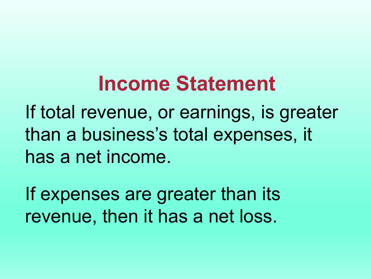## **Income Statement**

If total revenue, or earnings, is greater than a business's total expenses, it has a net income.

If expenses are greater than its revenue, then it has a net loss.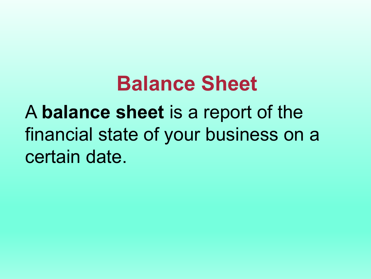#### **Balance Sheet**

A **balance sheet** is a report of the financial state of your business on a certain date.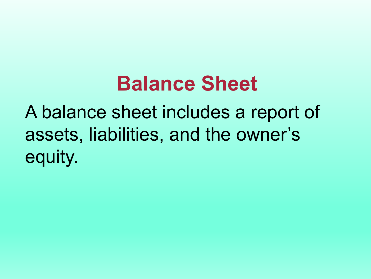#### **Balance Sheet**

A balance sheet includes a report of assets, liabilities, and the owner's equity.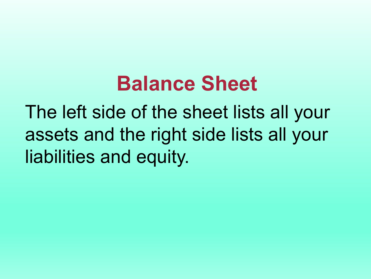#### **Balance Sheet**

The left side of the sheet lists all your assets and the right side lists all your liabilities and equity.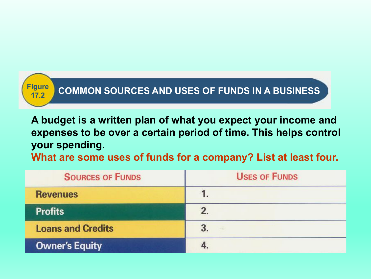

#### **19ure COMMON SOURCES AND USES OF FUNDS IN A BUSINESS**

**A budget is a written plan of what you expect your income and expenses to be over a certain period of time. This helps control your spending.**

**What are some uses of funds for a company? List at least four.**

| <b>SOURCES OF FUNDS</b>  | <b>USES OF FUNDS</b> |  |
|--------------------------|----------------------|--|
| <b>Revenues</b>          |                      |  |
| <b>Profits</b>           |                      |  |
| <b>Loans and Credits</b> |                      |  |
| <b>Owner's Equity</b>    |                      |  |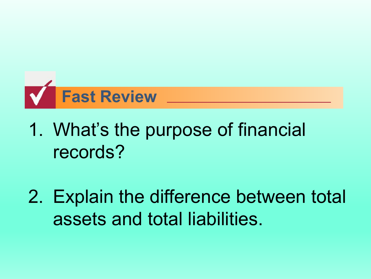

#### 1. What's the purpose of financial records?

2. Explain the difference between total assets and total liabilities.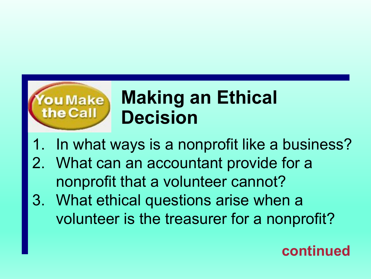

#### **Making an Ethical Decision**

- 1. In what ways is a nonprofit like a business?
- 2. What can an accountant provide for a nonprofit that a volunteer cannot?
- 3. What ethical questions arise when a volunteer is the treasurer for a nonprofit?

#### **continued**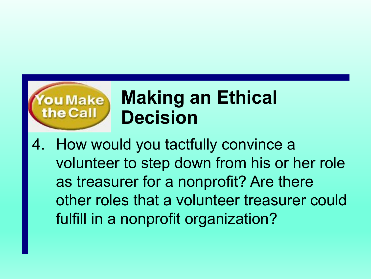

#### **Making an Ethical Decision**

4. How would you tactfully convince a volunteer to step down from his or her role as treasurer for a nonprofit? Are there other roles that a volunteer treasurer could fulfill in a nonprofit organization?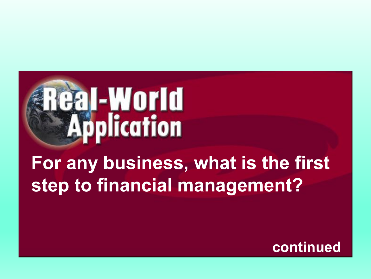

#### **For any business, what is the first step to financial management?**

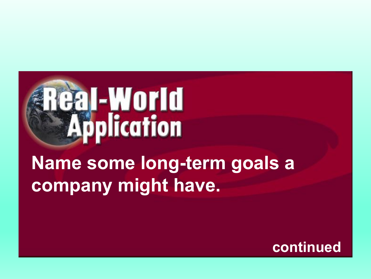

#### **Name some long-term goals a company might have.**

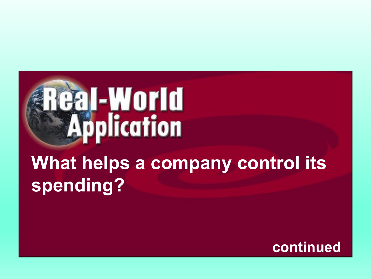

**What helps a company control its spending?**

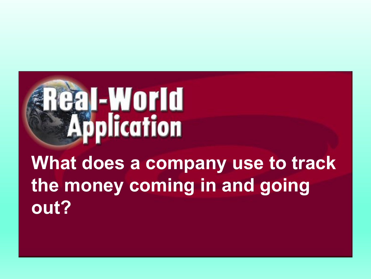

#### **What does a company use to track the money coming in and going out?**